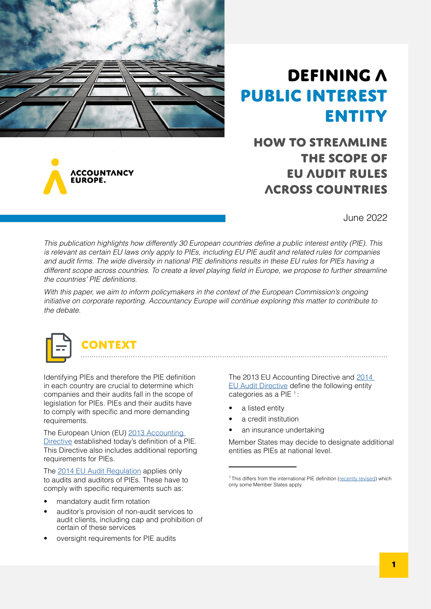

**ACCOUNTANCY** 

# Defining a public interest **ENTITY**

### How to streamline the scope of EU audit rules across countries

June 2022

This publication highlights how differently 30 European countries define a public interest entity (PIE). This is relevant as certain EU laws only apply to PIEs, including EU PIE audit and related rules for companies and audit firms. The wide diversity in national PIE definitions results in these EU rules for PIEs having a different scope across countries. To create a level playing field in Europe, we propose to further streamline the countries' PIE definitions.

With this paper, we aim to inform policymakers in the context of the European Commission's ongoing initiative on corporate reporting. Accountancy Europe will continue exploring this matter to contribute to the debate.



Identifying PIEs and therefore the PIE definition in each country are crucial to determine which companies and their audits fall in the scope of legislation for PIEs. PIEs and their audits have to comply with specific and more demanding requirements.

The European Union (EU) 2013 Accounting [Directive](https://eur-lex.europa.eu/legal-content/EN/TXT/?uri=celex%3A32013L0034) established today's definition of a PIE. This Directive also includes additional reporting requirements for PIEs.

The [2014 EU Audit Regulation](https://eur-lex.europa.eu/legal-content/EN/TXT/?uri=celex%3A32014R0537) applies only to audits and auditors of PIEs. These have to comply with specific requirements such as:

- mandatory audit firm rotation
- auditor's provision of non-audit services to audit clients, including cap and prohibition of certain of these services
- oversight requirements for PIE audits

The 2013 EU Accounting Directive and [2014](https://eur-lex.europa.eu/legal-content/EN/TXT/?uri=CELEX:32014L0056)  [EU Audit Directive](https://eur-lex.europa.eu/legal-content/EN/TXT/?uri=CELEX:32014L0056) define the following entity categories as a PIE<sup>1</sup>:

- a listed entity
- a credit institution
- an insurance undertaking

Member States may decide to designate additional entities as PIEs at national level.

<sup>&</sup>lt;sup>1</sup> This differs from the international PIE definition [\(recently revised\)](https://www.ethicsboard.org/publications/final-pronouncement-revisions-definitions-listed-entity-and-public-interest-entity-code) which only some Member States apply.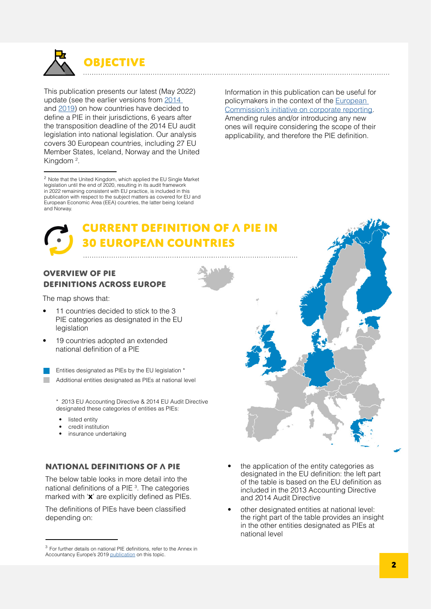

This publication presents our latest (May 2022) update (see the earlier versions from [2014](https://www.accountancyeurope.eu/publications/fee-survey-on-the-pie-definitions-applicable-in-european-countries/)  and [2019](https://www.accountancyeurope.eu/publications/definition-public-interest-entities-europe/)) on how countries have decided to define a PIE in their jurisdictions, 6 years after the transposition deadline of the 2014 EU audit legislation into national legislation. Our analysis covers 30 European countries, including 27 EU Member States, Iceland, Norway and the United Kingdom<sup>2</sup>.

2 Note that the United Kingdom, which applied the EU Single Market legislation until the end of 2020, resulting in its audit framework in 2022 remaining consistent with EU practice, is included in this publication with respect to the subject matters as covered for EU and European Economic Area (EEA) countries, the latter being Iceland and Norway.

Information in this publication can be useful for policymakers in the context of the [European](https://ec.europa.eu/info/law/better-regulation/have-your-say/initiatives/13128-Corporate-reporting-improving-its-quality-and-enforcement_en)  [Commission's initiative on corporate reporting](https://ec.europa.eu/info/law/better-regulation/have-your-say/initiatives/13128-Corporate-reporting-improving-its-quality-and-enforcement_en). Amending rules and/or introducing any new ones will require considering the scope of their applicability, and therefore the PIE definition.

### Current definition of a PIE in 30 European countries

#### Overview of PIE definitions across Europe

The map shows that:

- 11 countries decided to stick to the 3 PIE categories as designated in the EU legislation
- 19 countries adopted an extended national definition of a PIE

Entities designated as PIEs by the EU legislation \* Additional entities designated as PIEs at national level

\* 2013 EU Accounting Directive & 2014 EU Audit Directive designated these categories of entities as PIEs:

- listed entity
- credit institution
- insurance undertaking

### National definitions of a PIE

The below table looks in more detail into the national definitions of a PIE<sup>3</sup>. The categories marked with 'x' are explicitly defined as PIEs.

The definitions of PIEs have been classified depending on:

- the application of the entity categories as designated in the EU definition: the left part of the table is based on the EU definition as included in the 2013 Accounting Directive and 2014 Audit Directive
- other designated entities at national level: the right part of the table provides an insight in the other entities designated as PIEs at national level

 $3$  For further details on national PIE definitions, refer to the Annex in Accountancy Europe's 2019 [publication](https://www.accountancyeurope.eu/publications/definition-public-interest-entities-europe/) on this topic.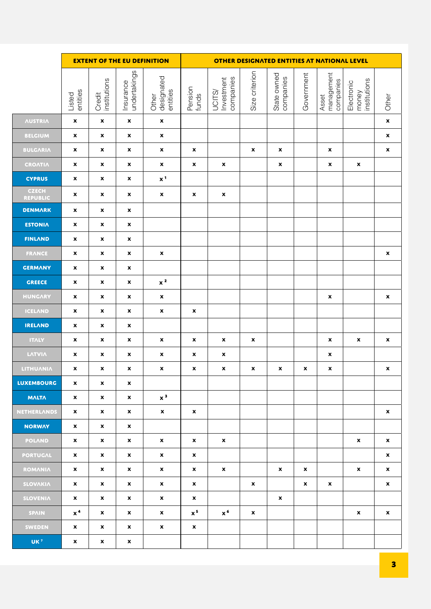|                                 | <b>EXTENT OF THE EU DEFINITION</b> |                           |                           |                                 | OTHER DESIGNATED ENTITIES AT NATIONAL LEVEL |                                   |                           |                           |                           |                                  |                                     |                  |
|---------------------------------|------------------------------------|---------------------------|---------------------------|---------------------------------|---------------------------------------------|-----------------------------------|---------------------------|---------------------------|---------------------------|----------------------------------|-------------------------------------|------------------|
|                                 | entities<br>Listed                 | Credit<br>institutions    | undertakings<br>Insurance | designated<br>entities<br>Other | Pension<br>funds                            | Investment<br>companies<br>UCITS/ | Size criterion            | State owned<br>companies  | Government                | management<br>companies<br>Asset | institutions<br>Electronic<br>money | Other            |
| <b>AUSTRIA</b>                  | $\pmb{\mathsf{x}}$                 | $\pmb{\mathsf{x}}$        | $\boldsymbol{x}$          | $\pmb{\mathsf{x}}$              |                                             |                                   |                           |                           |                           |                                  |                                     | $\pmb{\times}$   |
| <b>BELGIUM</b>                  | x                                  | X                         | $\boldsymbol{\mathsf{x}}$ | x                               |                                             |                                   |                           |                           |                           |                                  |                                     | X                |
| <b>BULGARIA</b>                 | $\boldsymbol{\mathsf{x}}$          | X                         | $\boldsymbol{\mathsf{x}}$ | $\pmb{\mathsf{x}}$              | X                                           |                                   | x                         | x                         |                           | x                                |                                     | x                |
| <b>CROATIA</b>                  | $\pmb{\mathsf{x}}$                 | x                         | $\boldsymbol{x}$          | $\boldsymbol{x}$                | X                                           | X                                 |                           | X                         |                           | X                                | X                                   |                  |
| <b>CYPRUS</b>                   | X                                  | X                         | $\boldsymbol{\mathsf{x}}$ | x <sup>1</sup>                  |                                             |                                   |                           |                           |                           |                                  |                                     |                  |
| <b>CZECH</b><br><b>REPUBLIC</b> | X                                  | X                         | $\boldsymbol{\mathsf{x}}$ | $\mathbf{x}$                    | X                                           | x                                 |                           |                           |                           |                                  |                                     |                  |
| <b>DENMARK</b>                  | X                                  | X                         | x                         |                                 |                                             |                                   |                           |                           |                           |                                  |                                     |                  |
| <b>ESTONIA</b>                  | x                                  | x                         | $\boldsymbol{x}$          |                                 |                                             |                                   |                           |                           |                           |                                  |                                     |                  |
| <b>FINLAND</b>                  | $\boldsymbol{\mathsf{x}}$          | X                         | $\boldsymbol{\mathsf{x}}$ |                                 |                                             |                                   |                           |                           |                           |                                  |                                     |                  |
| <b>FRANCE</b>                   | X                                  | X                         | $\pmb{\mathsf{x}}$        | $\boldsymbol{\mathsf{x}}$       |                                             |                                   |                           |                           |                           |                                  |                                     | X                |
| <b>GERMANY</b>                  | x                                  | X                         | $\pmb{\mathsf{x}}$        |                                 |                                             |                                   |                           |                           |                           |                                  |                                     |                  |
| <b>GREECE</b>                   | X                                  | X                         | $\boldsymbol{\mathsf{x}}$ | $x^2$                           |                                             |                                   |                           |                           |                           |                                  |                                     |                  |
| <b>HUNGARY</b>                  | $\boldsymbol{\mathsf{x}}$          | X                         | $\pmb{\mathsf{x}}$        | $\mathbf{x}$                    |                                             |                                   |                           |                           |                           | X                                |                                     | x                |
| <b>ICELAND</b>                  | $\pmb{\times}$                     | x                         | $\boldsymbol{x}$          | $\boldsymbol{\mathsf{x}}$       | $\pmb{\mathsf{x}}$                          |                                   |                           |                           |                           |                                  |                                     |                  |
| <b>IRELAND</b>                  | X                                  | X                         | $\boldsymbol{x}$          |                                 |                                             |                                   |                           |                           |                           |                                  |                                     |                  |
| <b>ITALY</b>                    | $\boldsymbol{\mathsf{x}}$          | X                         | $\boldsymbol{\mathsf{x}}$ | $\pmb{\mathsf{x}}$              | X                                           | x                                 | x                         |                           |                           | X                                | x                                   | x                |
| <b>LATVIA</b>                   | $\pmb{\times}$                     | X                         | $\pmb{\mathsf{x}}$        | $\pmb{\mathsf{x}}$              | X                                           | $\pmb{\mathsf{x}}$                |                           |                           |                           | $\pmb{\mathsf{x}}$               |                                     |                  |
| <b>LITHUANIA</b>                | x                                  | X                         | x                         | x                               | X                                           | X                                 | X                         | X                         | $\pmb{\mathsf{x}}$        | X                                |                                     | X                |
| <b>LUXEMBOURG</b>               | x                                  | x                         | X                         |                                 |                                             |                                   |                           |                           |                           |                                  |                                     |                  |
| <b>MALTA</b>                    | $\mathbf{x}$                       | x                         | $\boldsymbol{\mathsf{x}}$ | $x^3$                           |                                             |                                   |                           |                           |                           |                                  |                                     |                  |
| <b>NETHERLANDS</b>              | $\pmb{\mathsf{x}}$                 | $\boldsymbol{\mathsf{x}}$ | $\boldsymbol{\mathsf{x}}$ | $\pmb{\mathsf{x}}$              | x                                           |                                   |                           |                           |                           |                                  |                                     | $\boldsymbol{x}$ |
| <b>NORWAY</b>                   | x                                  | x                         | x                         |                                 |                                             |                                   |                           |                           |                           |                                  |                                     |                  |
| <b>POLAND</b>                   | $\boldsymbol{\mathsf{x}}$          | x                         | $\boldsymbol{\mathsf{x}}$ | $\mathbf{x}$                    | x                                           | X                                 |                           |                           |                           |                                  | X                                   | x                |
| <b>PORTUGAL</b>                 | $\mathbf{x}$                       | $\pmb{\mathsf{x}}$        | $\boldsymbol{\mathsf{x}}$ | $\boldsymbol{\mathsf{x}}$       | $\pmb{\mathsf{x}}$                          |                                   |                           |                           |                           |                                  |                                     | X                |
| <b>ROMANIA</b>                  | x                                  | x                         | $\pmb{\mathsf{x}}$        | $\boldsymbol{\mathsf{x}}$       | x                                           | x                                 |                           | x                         | $\boldsymbol{\mathsf{x}}$ |                                  | x                                   | x                |
| <b>SLOVAKIA</b>                 | x                                  | x                         | $\boldsymbol{\mathsf{x}}$ | x                               | x                                           |                                   | $\pmb{\mathsf{x}}$        |                           | $\pmb{\mathsf{x}}$        | $\pmb{\mathsf{x}}$               |                                     | x                |
| <b>SLOVENIA</b>                 | $\pmb{\mathsf{x}}$                 | $\boldsymbol{x}$          | $\boldsymbol{\mathsf{x}}$ | $\boldsymbol{\mathsf{x}}$       | $\boldsymbol{x}$                            |                                   |                           | $\boldsymbol{\mathsf{x}}$ |                           |                                  |                                     |                  |
| <b>SPAIN</b>                    | x <sup>4</sup>                     | x                         | $\boldsymbol{\mathsf{x}}$ | $\boldsymbol{\mathsf{x}}$       | $x^5$                                       | $x^6$                             | $\boldsymbol{\mathsf{x}}$ |                           |                           |                                  | x                                   | $\boldsymbol{x}$ |
| <b>SWEDEN</b>                   | x                                  | x                         | $\boldsymbol{\mathsf{x}}$ | $\mathbf{x}$                    | $\pmb{\mathsf{x}}$                          |                                   |                           |                           |                           |                                  |                                     |                  |
| UK <sup>7</sup>                 | x                                  | $\pmb{\mathsf{x}}$        | $\pmb{\mathsf{x}}$        |                                 |                                             |                                   |                           |                           |                           |                                  |                                     |                  |